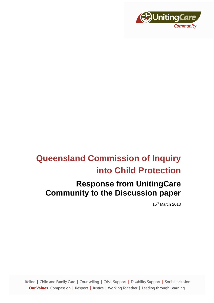

# **Queensland Commission of Inquiry into Child Protection**

# **Response from UnitingCare Community to the Discussion paper**

15th March 2013

Lifeline | Child and Family Care | Counselling | Crisis Support | Disability Support | Social Inclusion

**Our Values** Compassion | Respect | Justice | Working Together | Leading through Learning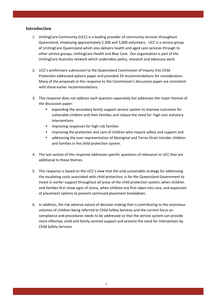## **Introduction**

- 1. UnitingCare Community (UCC) is a leading provider of community services throughout Queensland, employing approximately 2,500 and 5,600 volunteers. UCC is a service group of UnitingCare Queensland which also delivers health and aged care services through its other service groups, UnitingCare Health and Blue Care. Our organisation is part of the UnitingCare Australia network which undertakes policy, research and advocacy work.
- 2. UCC's preliminary submission to the Queensland Commission of Inquiry into Child Protection addressed options paper and provided 33 recommendations for consideration. Many of the proposals in this response to the Commission's discussion paper are consistent with these earlier recommendations.
- 3. This response does not address each question separately but addresses the major themes of the discussion paper:
	- expanding the secondary family support service system to improve outcomes for vulnerable children and their families and reduce the need for high cost statutory interventions
	- improving responses for high risk families
	- improving the protection and care of children who require safety and support and
	- addressing the over-representation of Aboriginal and Torres Strait Islander children and families in the child protection system.
- 4. The last section of this response addresses specific questions of relevance to UCC that are additional to these themes.
- 5. This response is based on the UCC's view that the only sustainable strategy for addressing the escalating costs associated with child protection, is for the Queensland Government to invest in earlier support throughout all areas of the child protection system, when children and families first show signs of stress, when children are first taken into care, and expansion of placement options to prevent continued placement breakdown.
- 6. In addition, the risk adverse nature of decision making that is contributing to the enormous volumes of children being referred to Child Safety Services and the current focus on compliance and procedures needs to be addressed so that the service system can provide more effective, child and family centred support and prevent the need for intervention by Child Safety Services.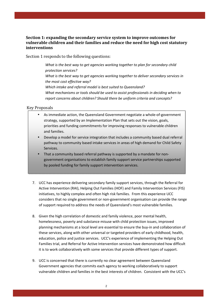# **Section 1: expanding the secondary service system to improve outcomes for vulnerable children and their families and reduce the need for high cost statutory interventions**

Section 1 responds to the following questions:

*What is the best way to get agencies working together to plan for secondary child protection services? What is the best way to get agencies working together to deliver secondary services in the most cost effective way? Which intake and referral model is best suited to Queensland? What mechanisms or tools should be used to assist professionals in deciding when to report concerns about children? Should there be uniform criteria and concepts?* 

Key Proposals

- As immediate action, the Queensland Government negotiate a whole-of-government strategy, supported by an Implementation Plan that sets out the vision, goals, priorities and funding commitments for improving responses to vulnerable children and families.
- Develop a model for service integration that includes a community based dual referral pathway to community based intake services in areas of high demand for Child Safety Services.
- That a community based referral pathway is supported by a mandate for nongovernment organisations to establish family support service partnerships supported by pooled funding for family support intervention services.
- 7. UCC has experience delivering secondary family support services, through the Referral for Active Intervention (RAI), Helping Out Families (HOF) and Family Intervention Services (FIS) initiatives, to highly complex and often high risk families. From this experience UCC considers that no single government or non-government organisation can provide the range of support required to address the needs of Queensland's most vulnerable families.
- 8. Given the high correlation of domestic and family violence, poor mental health, homelessness, poverty and substance misuse with child protection issues, improved planning mechanisms at a local level are essential to ensure the buy-in and collaboration of these services, along with other universal or targeted providers of early childhood, health, education, police and justice services. UCC's experience of implementing the Helping Out Families trial, and Referral for Active Intervention services have demonstrated how difficult it is to work collaboratively with some services that provide different types of support.
- 9. UCC is concerned that there is currently no clear agreement between Queensland Government agencies that commits each agency to working collaboratively to support vulnerable children and families in the best interests of children. Consistent with the UCC's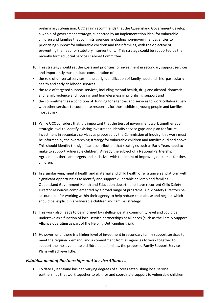preliminary submission, UCC again recommends that the Queensland Government develop a whole-of-government strategy, supported by an Implementation Plan, for vulnerable children and families that commits agencies, including non-government agencies to prioritising support for vulnerable children and their families, with the objective of preventing the need for statutory interventions. This strategy could be supported by the recently formed Social Services Cabinet Committee.

- 10. This strategy should set the goals and priorities for investment in secondary support services and importantly must include consideration of:
- the role of universal services in the early identification of family need and risk, particularly health and early childhood services
- the role of targeted support services, including mental health, drug and alcohol, domestic and family violence and housing and homelessness in prioritising support and
- the commitment as a condition of funding for agencies and services to work collaboratively with other services to coordinate responses for those children, young people and families most at risk.
- 11. While UCC considers that it is important that the tiers of government work together at a strategic level to identify existing investment, identify service gaps and plan for future investment in secondary services as proposed by the Commission of Inquiry, this work must be informed by the overarching strategy for vulnerable children and families outlined above. This should identify the significant contribution that strategies such as Early Years need to make to support vulnerable children. Already the subject of a National Partnership Agreement, there are targets and initiatives with the intent of improving outcomes for these children.
- 12. In a similar vein, mental health and maternal and child health offer a universal platform with significant opportunities to identify and support vulnerable children and families. Queensland Government Health and Education departments have recurrent Child Safety Director resources complemented by a broad range of programs. Child Safety Directors be accountable for working within their agency to help reduce child abuse and neglect which should be explicit in a vulnerable children and families strategy.
- 13. This work also needs to be informed by intelligence at a community level and could be undertake as a function of local service partnerships or alliances (such as the Family Support Alliance operating as part of the Helping Out Families trial).
- 14. However, until there is a higher level of investment in secondary family support services to meet the required demand, and a commitment from all agencies to work together to support the most vulnerable children and families, the proposed Family Support Service Plans will achieve little.

#### *Establishment of Partnerships and Service Alliances*

15. To date Queensland has had varying degrees of success establishing local service partnerships that work together to plan for and coordinate support to vulnerable children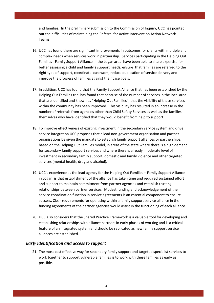and families. In the preliminary submission to the Commission of Inquiry, UCC has pointed out the difficulties of maintaining the Referral for Active Intervention Action Network Teams.

- 16. UCC has found there are significant improvements in outcomes for clients with multiple and complex needs when services work in partnership. Services participating in the Helping Out Families - Family Support Alliance in the Logan area have been able to share expertise for better assessing a child and family's support needs, ensure that families are referred to the right type of support, coordinate casework, reduce duplication of service delivery and improve the progress of families against their case goals.
- 17. In addition, UCC has found that the Family Support Alliance that has been established by the Helping Out Families trial has found that because of the number of services in the local area that are identified and known as "Helping Out Families", that the visibility of these services within the community has been improved. This visibility has resulted in an increase in the number of referrals from agencies other than Child Safety Services as well as the families themselves who have identified that they would benefit from help to support.
- 18. To improve effectiveness of existing investment in the secondary service system and drive service integration UCC proposes that a lead non-government organisation and partner organisations be given the mandate to establish family support alliances or partnerships, based on the Helping Out Families model, in areas of the state where there is a high demand for secondary family support services and where there is already moderate level of investment in secondary family support, domestic and family violence and other targeted services (mental health, drug and alcohol).
- 19. UCC's experience as the lead agency for the Helping Out Families Family Support Alliance in Logan is that establishment of the alliance has taken time and required sustained effort and support to maintain commitment from partner agencies and establish trusting relationships between partner services. Modest funding and acknowledgement of the service coordination function in service agreements is an essential component to ensure success. Clear requirements for operating within a family support service alliance in the funding agreements of the partner agencies would assist in the functioning of each alliance.
- 20. UCC also considers that the Shared Practice Framework is a valuable tool for developing and establishing relationships with alliance partners in early phases of working and is a critical feature of an integrated system and should be replicated as new family support service alliances are established.

#### *Early identification and access to support*

21. The most cost effective way for secondary family support and targeted specialist services to work together to support vulnerable families is to work with these families as early as possible.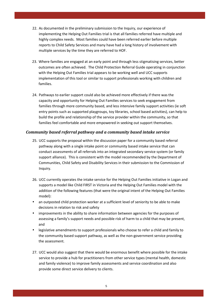- 22. As documented in the preliminary submission to the Inquiry, our experience of implementing the Helping Out Families trial is that all families referred have multiple and highly complex needs. Most families could have been referred earlier before multiple reports to Child Safety Services and many have had a long history of involvement with multiple services by the time they are referred to HOF.
- 23. Where families are engaged at an early point and through less stigmatising services, better outcomes are often achieved. The Child Protection Referral Guide operating in conjunction with the Helping Out Families trial appears to be working well and UCC supports implementation of this tool or similar to support professionals working with children and families.
- 24. Pathways to earlier support could also be achieved more effectively if there was the capacity and opportunity for Helping Out Families services to seek engagement from families through more community based, and less intensive family support activities (ie soft entry points such as supported playgroups, toy libraries, school based activities), can help to build the profile and relationship of the service provider within the community, so that families feel comfortable and more empowered in seeking out support themselves.

# *Community based referral pathway and a community based intake service*

- 25. UCC supports the proposal within the discussion paper for a community based referral pathway along with a single intake point or community based intake service that can conduct assessments of all referrals into an integrated secondary service system (or family support alliance). This is consistent with the model recommended by the Department of Communities, Child Safety and Disability Services in their submission to the Commission of Inquiry.
- 26. UCC currently operates the intake service for the Helping Out Families initiative in Logan and supports a model like Child FIRST in Victoria and the Helping Out Families model with the addition of the following features (that were the original intent of the Helping Out Families model):
- an outposted child protection worker at a sufficient level of seniority to be able to make decisions in relation to risk and safety
- improvements in the ability to share information between agencies for the purposes of assessing a family's support needs and possible risk of harm to a child that may be present, and
- legislative amendments to support professionals who choose to refer a child and family to the community based support pathway, as well as the non-government service providing the assessment.
- 27. UCC would also suggest that there would be enormous benefit where possible for the intake service to provide a hub for practitioners from other service types (mental health, domestic and family violence) to improve family assessments and service coordination and also provide some direct service delivery to clients.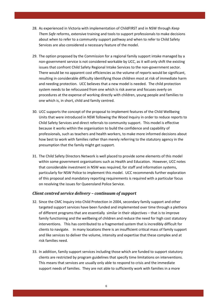- 28. As experienced in Victoria with implementation of ChildFIRST and in NSW through *Keep Them Safe* reforms, extensive training and tools to support professionals to make decisions about when to refer to a community support pathway and when to refer to Child Safety Services are also considered a necessary feature of the model.
- 29. The option proposed by the Commission for a regional family support intake managed by a non-government service is not considered workable by UCC, as it will only shift the existing issues that confront Child Safety Regional Intake Services to the non-government sector. There would be no apparent cost efficiencies as the volume of reports would be significant, resulting in considerable difficulty identifying those children most at risk of immediate harm and needing protection. UCC believes that a new model is needed. The child protection system needs to be refocussed from one which is risk averse and focuses overly on procedures at the expense of working directly with children, young people and families to one which is, in short, child and family centred.
- 30. UCC supports the concept of the proposal to implement features of the Child Wellbeing Units that were introduced in NSW following the Wood Inquiry in order to reduce reports to Child Safety Services and direct referrals to community support. This model is effective because it works within the organisation to build the confidence and capability of professionals, such as teachers and health workers, to make more informed decisions about how best to work with families rather than merely referring to the statutory agency in the presumption that the family might get support.
- 31. The Child Safety Directors Network is well placed to provide some elements of this model within some government organisations such as Health and Education. However, UCC notes that considerable investment in NSW was required, for staff and information systems, particularly for NSW Police to implement this model. UCC recommends further exploration of this proposal and mandatory reporting requirements is required with a particular focus on resolving the issues for Queensland Police Service.

#### *Client centred service delivery – continuum of support*

- 32. Since the CMC Inquiry into Child Protection in 2004, secondary family support and other targeted support services have been funded and implemented over time through a plethora of different programs that are essentially similar in their objectives – that is to improve family functioning and the wellbeing of children and reduce the need for high cost statutory interventions. This has contributed to a fragmented system that is incredibly difficult for clients to navigate. In many locations there is an insufficient critical mass of family support and like services to deliver the volume, intensity and expertise that these complex and at risk families need.
- 33. In addition, family support services including those which are funded to support statutory clients are restricted by program guidelines that specify time limitations on interventions. This means that services are usually only able to respond to crisis and the immediate support needs of families. They are not able to sufficiently work with families in a more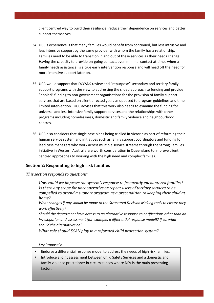client centred way to build their resilience, reduce their dependence on services and better support themselves.

- 34. UCC's experience is that many families would benefit from continued, but less intrusive and less intensive support by the same provider with whom the family has a relationship. Families need to be able to transition in and out of these services as their needs change. Having the capacity to provide on-going contact, even minimal contact at times when a family needs assistance, is a true early intervention response and will head off the need for more intensive support later on.
- 35. UCC would support that DCCSDS review and "repurpose" secondary and tertiary family support programs with the view to addressing the siloed approach to funding and provide "pooled" funding to non-government organisations for the provision of family support services that are based on client directed goals as opposed to program guidelines and time limited intervention. UCC advises that this work also needs to examine the funding for universal and less intensive family support services and the relationships with other programs including homelessness, domestic and family violence and neighbourhood centres.
- 36. UCC also considers that single case plans being trialled in Victoria as part of reforming their human service system and initiatives such as family support coordinators and funding for lead case managers who work across multiple service streams through the Strong Families initiative in Western Australia are worth consideration in Queensland to improve client centred approaches to working with the high need and complex families.

## **Section 2: Responding to high risk families**

## *This section responds to questions:*

*How could we improve the system's response to frequently encountered families? Is there any scope for uncooperative or repeat users of tertiary services to be compelled to attend a support program as a precondition to keeping their child at home?* 

*What changes if any should be made to the Structured Decision Making tools to ensure they work effectively?* 

*Should the department have access to an alternative response to notifications other than an investigation and assessment (for example, a differential response model)? If so, what should the alternatives be?* 

*What role should SCAN play in a reformed child protection system?* 

*Key Proposals:* 

- Endorse a differential response model to address the needs of high risk families.
- Introduce a joint assessment between Child Safety Services and a domestic and family violence practitioner in circumstances where DFV is the main presenting factor.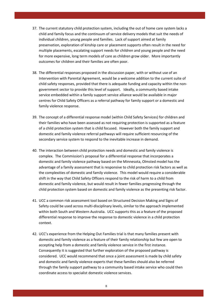- 37. The current statutory child protection system, including the out of home care system lacks a child and family focus and the continuum of service delivery models that suit the needs of individual children, young people and families. Lack of support aimed at family preservation, exploration of kinship care or placement supports often result in the need for multiple placements, escalating support needs for children and young people and the need for more expensive, long term models of care as children grow older. More importantly outcomes for children and their families are often poor.
- 38. The differential responses proposed in the discussion paper, with or without use of an Intervention with Parental Agreement, would be a welcome addition to the current suite of child safety responses, provided that there is adequate funding and capacity within the nongovernment sector to provide this level of support. Ideally, a community based intake service embedded within a family support service alliance would be available in major centres for Child Safety Officers as a referral pathway for family support or a domestic and family violence response.
- 39. The concept of a differential response model (within Child Safety Services) for children and their families who have been assessed as not requiring protection is supported as a feature of a child protection system that is child focused. However both the family support and domestic and family violence referral pathways will require sufficient resourcing of the secondary service system to respond to the inevitable increase in demand.
- 40. The interaction between child protection needs and domestic and family violence is complex. The Commission's proposal for a differential response that incorporates a domestic and family violence pathway based on the Minnesota, Olmsted model has the advantage of a family assessment that is responsive to child protection risk factors as well as the complexities of domestic and family violence. This model would require a considerable shift in the way that Child Safety Officers respond to the risk of harm to a child from domestic and family violence, but would result in fewer families progressing through the child protection system based on domestic and family violence as the presenting risk factor.
- 41. UCC a common risk assessment tool based on Structured Decision Making and Signs of Safety could be used across multi-disciplinary levels, similar to the approach implemented within both South and Western Australia. UCC supports this as a feature of the proposed differential response to improve the response to domestic violence in a child protection context.
- 42. UCC's experience from the Helping Out Families trial is that many families present with domestic and family violence as a feature of their family relationship but few are open to accepting help from a domestic and family violence service in the first instance. Consequently it is suggested that further exploration of the proposed pathway is considered. UCC would recommend that once a joint assessment is made by child safety and domestic and family violence experts that these families should also be referred through the family support pathway to a community based intake service who could then coordinate access to specialist domestic violence services.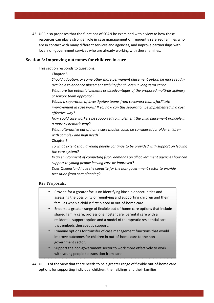43. UCC also proposes that the functions of SCAN be examined with a view to how these resources can play a stronger role in case management of frequently referred families who are in contact with many different services and agencies, and improve partnerships with local non-government services who are already working with these families.

## **Section 3: Improving outcomes for children in care**

This section responds to questions:

 Chapter 5 *Should adoption, or some other more permanent placement option be more readily available to enhance placement stability for children in long term care? What are the potential benefits or disadvantages of the proposed multi-disciplinary casework team approach? Would a separation of investigative teams from casework teams facilitate improvement in case work? If so, how can this separation be implemented in a cost effective way? How could case workers be supported to implement the child placement principle in a more systematic way? What alternative out of home care models could be considered for older children with complex and high needs?*  Chapter 6 *To what extent should young people continue to be provided with support on leaving the care system? In an environment of competing fiscal demands on all government agencies how can support to young people leaving care be improved? Does Queensland have the capacity for the non-government sector to provide transition from care planning?* 

#### Key Proposals:

- Provide for a greater focus on identifying kinship opportunities and assessing the possibility of reunifying and supporting children and their families when a child is first placed in out-of-home care.
- Endorse a greater range of flexible out-of-home care options that include shared family care, professional foster care, parental care with a residential support option and a model of therapeutic residential care that embeds therapeutic support.
- Examine options for transfer of case management functions that would improve outcomes for children in out-of-home care to the nongovernment sector.
- Support the non-government sector to work more effectively to work with young people to transition from care.
- 44. UCC is of the view that there needs to be a greater range of flexible out-of-home care options for supporting individual children, their siblings and their families.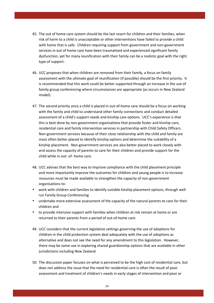- 45. The out of home care system should be the last resort for children and their families, when risk of harm to a child is unacceptable or other interventions have failed to provide a child with home that is safe. Children requiring support from government and non-government services in out of home care have been traumatised and experienced significant family dysfunction, yet for many reunification with their family can be a realistic goal with the right type of support.
- 46. UCC proposes that when children are removed from their family, a focus on family assessment with the ultimate goal of reunification (if possible) should be the first priority. It is recommended that this work could be better supported through an increase in the use of family group conferencing where circumstances are appropriate (as occurs in New Zealand model).
- 47. The second priority once a child is placed in out-of-home care should be a focus on working with the family and child to understand other family connections and conduct detailed assessment of a child's support needs and kinship care options. UCC's experience is that this is best done by non-government organisations that provide foster and kinship care, residential care and family intervention services in partnership with Child Safety Officers. Non-government services because of their close relationship with the child and family are most often better placed to identify kinship options and determine the suitability of a kinship placement. Non-government services are also better placed to work closely with and assess the capacity of parents to care for their children and provide support for the child while in out- of- home care.
- 48. UCC advises that the best way to improve compliance with the child placement principle and more importantly improve the outcomes for children and young people is to increase resources must be made available to strengthen the capacity of non-government organisations to:
- work with children and families to identify suitable kinship placement options, through well run Family Group Conferencing
- undertake more extensive assessment of the capacity of the natural parents to care for their children and
- to provide intensive support with families when children at risk remain at home or are returned to their parents from a period of out-of-home care.
- 49. UCC considers that the current legislative settings governing the use of adoptions for children in the child protection system deal adequately with the use of adoptions as alternative and does not see the need for any amendment to this legislation. However, there may be some use in exploring shared guardianship options that are available in other jurisdictions including New Zealand.
- 50. The discussion paper focuses on what is perceived to be the high cost of residential care, but does not address the issue that the need for residential care is often the result of poor assessment and treatment of children's needs in early stages of intervention and poor or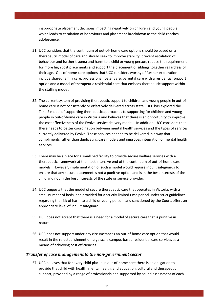inappropriate placement decisions impacting negatively on children and young people which leads to escalation of behaviours and placement breakdown as the child reaches adolescence.

- 51. UCC considers that the continuum of out-of- home care options should be based on a therapeutic model of care and should seek to improve stability, prevent escalation of behaviour and further trauma and harm to a child or young person, reduce the requirement for more high cost placements and support the placement of siblings together regardless of their age. Out-of-home care options that UCC considers worthy of further exploration include shared family care, professional foster care, parental care with a residential support option and a model of therapeutic residential care that embeds therapeutic support within the staffing model.
- 52. The current system of providing therapeutic support to children and young people in out-ofhome care is not consistently or effectively delivered across state. UCC has explored the Take 2 model of supporting therapeutic approaches to supporting for children and young people in out-of-home care in Victoria and believes that there is an opportunity to improve the cost effectiveness of the Evolve service delivery model. In addition, UCC considers that there needs to better coordination between mental health services and the types of services currently delivered by Evolve. These services needed to be delivered in a way that compliments rather than duplicating care models and improves integration of mental health services.
- 53. There may be a place for a small bed facility to provide secure welfare services with a therapeutic framework at the most intensive end of the continuum of out-of-home care models. However, implementation of such a model would require inbuilt safeguards to ensure that any secure placement is not a punitive option and is in the best interests of the child and not in the best interests of the state or service provider.
- 54. UCC suggests that the model of secure therapeutic care that operates in Victoria, with a small number of beds, and provided for a strictly limited time period under strict guidelines regarding the risk of harm to a child or young person, and sanctioned by the Court, offers an appropriate level of inbuilt safeguard.
- 55. UCC does not accept that there is a need for a model of secure care that is punitive in nature.
- 56. UCC does not support under any circumstances an out-of-home care option that would result in the re-establishment of large scale campus-based residential care services as a means of achieving cost efficiencies.

#### *Transfer of case management to the non-government sector*

57. UCC believes that for every child placed in out-of-home care there is an obligation to provide that child with health, mental health, and education, cultural and therapeutic support, provided by a range of professionals and supported by sound assessment of each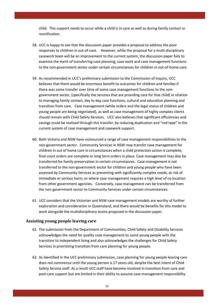child. This support needs to occur while a child is in care as well as during family contact or reunification.

- 58. UCC is happy to see that the discussion paper provides a proposal to address the poor responses to children in out-of-care. However, while the proposal for a multi-disciplinary casework team will be an improvement to the current system, the discussion paper fails to examine the merit of transferring case planning, case work and case management functions to the non-government sector under certain circumstances for children in out-of-home care.
- 59. As recommended in UCC's preliminary submission to the Commission of Inquiry, UCC believes that there would be enormous benefit to outcomes for children and families if there was some transfer over time of some case management functions to the nongovernment sector, (specifically the services that are providing care for that child) in relation to managing family contact, day to day care functions, cultural and education planning and transition from care. Case management (while orders and the legal status of children and young people are being negotiated), as well as case management of highly complex clients should remain with Child Safety Services. UCC also believes that significant efficiencies and savings could be realised through this transfer, by reducing duplication and "red tape" in the current system of case management and casework support.
- 60. Both Victoria and NSW have outsourced a range of case management responsibilities to the non-government sector. Community Services in NSW may transfer case management for children in out of home care in circumstances when a child protection action is complete, final court orders are complete or long term orders in place. Case management may also be transferred for family preservation in certain circumstances. Case management is not transferred to the non-government sector for children and young people who have been assessed by Community Services as presenting with significantly complex needs, at risk of immediate or serious harm, or where case management requires a high level of co-location from other government agencies. Conversely, case management can be transferred from the non-government sector to Community Services under certain circumstances.
- 61. UCC considers that the Victorian and NSW case management models are worthy of further exploration and consideration in Queensland, and there would be benefits for this model to work alongside the multidisciplinary teams proposed in the discussion paper.

#### **Assisting young people leaving care**

- 62. The submission from the Department of Communities, Child Safety and Disability Services acknowledges the need for quality case management to assist young people with the transition to independent living and also acknowledges the challenges for Child Safety Services in prioritising transition from care planning for young people.
- 63. As identified in the UCC preliminary submission, case planning for young people leaving care does not commence until the young person is 17 years old, despite the best intent of Child Safety Service staff. As a result UCC staff have become involved in transition from care and post-care support but are limited in their ability to assume case management responsibility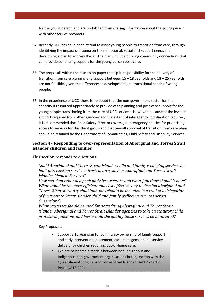for the young person and are prohibited from sharing information about the young person with other service providers.

- 64. Recently UCC has developed at trial to assist young people to transition from care, through identifying the impact of trauma on their emotional, social and support needs and developing a plan to address these. The plans include building community connections that can provide continuing support for the young person post-care.
- 65. The proposals within the discussion paper that split responsibility for the delivery of transition from care planning and support between 15 – 18 year olds and 18 – 25 year olds are not feasible, given the differences in development and transitional needs of young people.
- 66. In the experience of UCC, there is no doubt that the non-government sector has the capacity if resourced appropriately to provide case planning and post-care support for the young people transitioning from the care of UCC services. However, because of the level of support required from other agencies and the extent of interagency coordination required, it is recommended that Child Safety Directors oversight interagency policies for prioritising access to services for this client group and that overall approval of transition from care plans should be retained by the Department of Communities, Child Safety and Disability Services.

# **Section 4 - Responding to over-representation of Aboriginal and Torres Strait Islander children and families**

This section responds to questions:

*Could Aboriginal and Torres Strait Islander child and family wellbeing services be built into existing service infrastructure, such as Aboriginal and Torres Strait Islander Medical Services?* 

*How could an expanded peak body be structure and what functions should it have? What would be the most efficient and cost effective way to develop aboriginal and Torres What statutory child functions should be included in a trial of a delegation of functions to Strait islander child and family wellbeing services across Queensland?* 

*What processes should be used for accrediting Aboriginal and Torres Strait islander Aboriginal and Torres Strait Islander agencies to take on statutory child protection functions and how would the quality those services be monitored?* 

Key Proposals:

- Support a 10 year plan for community ownership of family support and early intervention, placement, case management and service delivery for children requiring out-of-home care.
- Explore partnership models between non-Indigenous and Indigenous non-government organisations in conjunction with the Queensland Aboriginal and Torres Strait Islander Child Protection Peak (QATSICPP)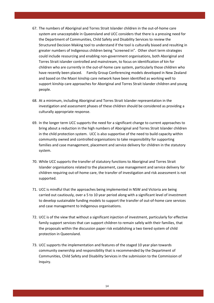- 67. The numbers of Aboriginal and Torres Strait Islander children in the out-of-home care system are unacceptable in Queensland and UCC considers that there is a pressing need for the Department of Communities, Child Safety and Disability Services to review the Structured Decision Making tool to understand if the tool is culturally biased and resulting in greater numbers of Indigenous children being "screened in". Other short term strategies could include resourcing and enabling non-government organisations, both Aboriginal and Torres Strait islander controlled and mainstream, to focus on identification of kin for children who are currently in the out-of-home care system, particularly those children who have recently been placed. Family Group Conferencing models developed in New Zealand and based on the Maori kinship care network have been identified as working well to support kinship care approaches for Aboriginal and Torres Strait Islander children and young people.
- 68. At a minimum, including Aboriginal and Torres Strait Islander representation in the investigation and assessment phases of these children should be considered as providing a culturally appropriate response.
- 69. In the longer term UCC supports the need for a significant change to current approaches to bring about a reduction in the high numbers of Aboriginal and Torres Strait Islander children in the child protection system. UCC is also supportive of the need to build capacity within community owned and controlled organisations to take responsibility for supporting families and case management, placement and service delivery for children in the statutory system.
- 70. While UCC supports the transfer of statutory functions to Aboriginal and Torres Strait Islander organisations related to the placement, case management and service delivery for children requiring out-of-home care, the transfer of investigation and risk assessment is not supported.
- 71. UCC is mindful that the approaches being implemented in NSW and Victoria are being carried out cautiously, over a 5 to 10 year period along with a significant level of investment to develop sustainable funding models to support the transfer of out-of-home care services and case management to Indigenous organisations.
- 72. UCC is of the view that without a significant injection of investment, particularly for effective family support services that can support children to remain safely with their families, that the proposals within the discussion paper risk establishing a two tiered system of child protection in Queensland.
- 73. UCC supports the implementation and features of the staged 10 year plan towards community ownership and responsibility that is recommended by the Department of Communities, Child Safety and Disability Services in the submission to the Commission of Inquiry.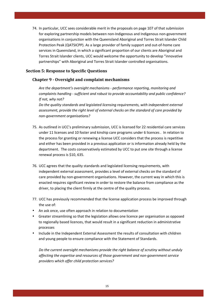74. In particular, UCC sees considerable merit in the proposals on page 107 of that submission for exploring partnership models between non-Indigenous and Indigenous non-government organisations in conjunction with the Queensland Aboriginal and Torres Strait Islander Child Protection Peak (QATSICPP). As a large provider of family support and out-of-home care services in Queensland, in which a significant proportion of our clients are Aboriginal and Torres Strait Islander clients, UCC would welcome the opportunity to develop "innovative partnerships" with Aboriginal and Torres Strait Islander controlled organisations.

## **Section 5: Response to Specific Questions**

## **Chapter 9 - Oversight and complaint mechanisms**

*Are the department's oversight mechanisms - performance reporting, monitoring and complaints handling - sufficient and robust to provide accountability and public confidence? If not, why not?* 

*Do the quality standards and legislated licensing requirements, with independent external assessment, provide the right level of external checks on the standard of care provided by non-government organisations?* 

- 75. As outlined in UCC's preliminary submission, UCC is licensed for 22 residential care services under 11 licenses and 10 foster and kinship care programs under 6 licences . In relation to the process for granting or renewing a license UCC considers that the process is repetitive and either has been provided in a previous application or is information already held by the department. The costs conservatively estimated by UCC to put one site through a license renewal process is \$10, 635.
- 76. UCC agrees that the quality standards and legislated licensing requirements, with independent external assessment, provides a level of external checks on the standard of care provided by non-government organisations. However, the current way in which this is enacted requires significant review in order to restore the balance from compliance as the driver, to placing the client firmly at the centre of the quality process.
- 77. UCC has previously recommended that the license application process be improved through the use of:
- An ask once, use often approach in relation to documentation
- Greater streamlining so that the legislation allows one licence per organisation as opposed to regionally based licences, that would result in a significant reduction in administrative processes
- Include in the Independent External Assessment the results of consultation with children and young people to ensure compliance with the Statement of Standards.

*Do the current oversight mechanisms provide the right balance of scrutiny without unduly affecting the expertise and resources of those government and non-government service providers which offer child protection services?*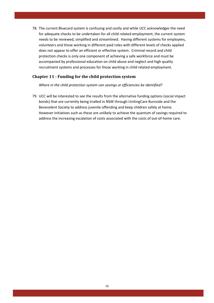78. The current Bluecard system is confusing and costly and while UCC acknowledges the need for adequate checks to be undertaken for all child related employment, the current system needs to be reviewed, simplified and streamlined. Having different systems for employees, volunteers and those working in different paid roles with different levels of checks applied does not appear to offer an efficient or effective system. Criminal record and child protection checks is only one component of achieving a safe workforce and must be accompanied by professional education on child abuse and neglect and high quality recruitment systems and processes for those working in child related employment.

# **Chapter 11 - Funding for the child protection system**

*Where in the child protection system can savings or efficiencies be identified?* 

79. UCC will be interested to see the results from the alternative funding options (social impact bonds) that are currently being trialled in NSW through UnitingCare Burnside and the Benevolent Society to address juvenile offending and keep children safely at home. However initiatives such as these are unlikely to achieve the quantum of savings required to address the increasing escalation of costs associated with the costs of out-of-home care.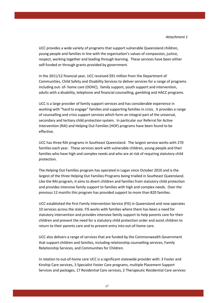UCC provides a wide variety of programs that support vulnerable Queensland children, young people and families in line with the organisation's values of compassion, justice, respect, working together and leading through learning. These services have been either self-funded or through grants provided by government.

In the 2011/12 financial year, UCC received \$91 million from the Department of Communities, Child Safety and Disability Services to deliver services for a range of programs including out- of- home care (OOHC), family support, youth support and intervention, adults with a disability, telephone and financial counselling, gambling and HACC programs.

UCC is a large provider of family support services and has considerable experience in working with "hard to engage" families and supporting families in crisis. It provides a range of counselling and crisis support services which form an integral part of the universal, secondary and tertiary child protection system. In particular our Referral for Active Intervention (RAI) and Helping Out Families (HOF) programs have been found to be effective.

UCC has three RAI programs in Southeast Queensland. The largest service works with 270 families each year. These services work with vulnerable children, young people and their families who have high and complex needs and who are at risk of requiring statutory child protection.

The Helping Out Families program has operated in Logan since October 2010 and is the largest of the three Helping Out Families Programs being trialled in Southeast Queensland. Like the RAI program, it aims to divert children and families from statutory child protection and provides intensive family support to families with high and complex needs. Over the previous 12 months this program has provided support to more than 820 families.

UCC established the first Family Intervention Service (FIS) in Queensland and now operates 10 services across the state. FIS works with families where there has been a need for statutory intervention and provides intensive family support to help parents care for their children and prevent the need for a statutory child protection order and assist children to return to their parents care and to prevent entry into out-of-home care.

UCC also delivers a range of services that are funded by the Commonwealth Government that support children and families, including relationship counselling services, Family Relationship Services, and Communities for Children.

In relation to out-of-home care UCC is a significant statewide provider with: 3 Foster and Kinship Care services, 3 Specialist Foster Care programs, multiple Placement Support Services and packages, 17 Residential Care services, 2 Therapeutic Residential Care services